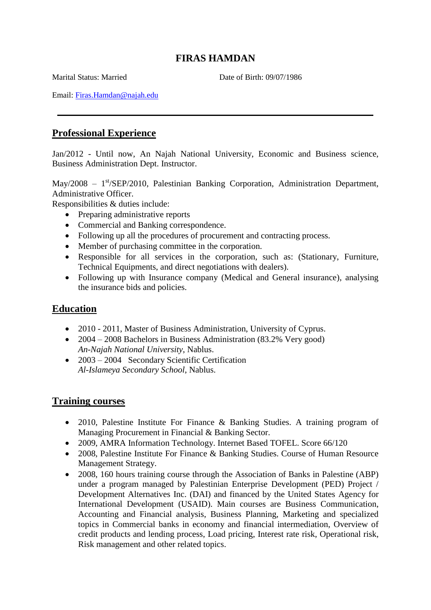# **FIRAS HAMDAN**

Marital Status: Married Date of Birth: 09/07/1986

Email: [Firas.Hamdan@najah.edu](mailto:Firasgah@hotmail.com)

## **Professional Experience**

Jan/2012 - Until now, An Najah National University, Economic and Business science, Business Administration Dept. Instructor.

May/2008 - 1<sup>st</sup>/SEP/2010, Palestinian Banking Corporation, Administration Department, Administrative Officer.

Responsibilities & duties include:

- Preparing administrative reports
- Commercial and Banking correspondence.
- Following up all the procedures of procurement and contracting process.
- Member of purchasing committee in the corporation.
- Responsible for all services in the corporation, such as: (Stationary, Furniture, Technical Equipments, and direct negotiations with dealers).
- Following up with Insurance company (Medical and General insurance), analysing the insurance bids and policies.

## **Education**

- 2010 2011, Master of Business Administration, University of Cyprus.
- 2004 2008 Bachelors in Business Administration (83.2% Very good) *An-Najah National University*, Nablus.
- 2003 2004 Secondary Scientific Certification *Al-Islameya Secondary School*, Nablus.

### **Training courses**

- 2010, Palestine Institute For Finance & Banking Studies. A training program of Managing Procurement in Financial & Banking Sector.
- 2009, AMRA Information Technology. Internet Based TOFEL. Score 66/120
- 2008. Palestine Institute For Finance & Banking Studies. Course of Human Resource Management Strategy.
- 2008, 160 hours training course through the Association of Banks in Palestine (ABP) under a program managed by Palestinian Enterprise Development (PED) Project / Development Alternatives Inc. (DAI) and financed by the United States Agency for International Development (USAID). Main courses are Business Communication, Accounting and Financial analysis, Business Planning, Marketing and specialized topics in Commercial banks in economy and financial intermediation, Overview of credit products and lending process, Load pricing, Interest rate risk, Operational risk, Risk management and other related topics.